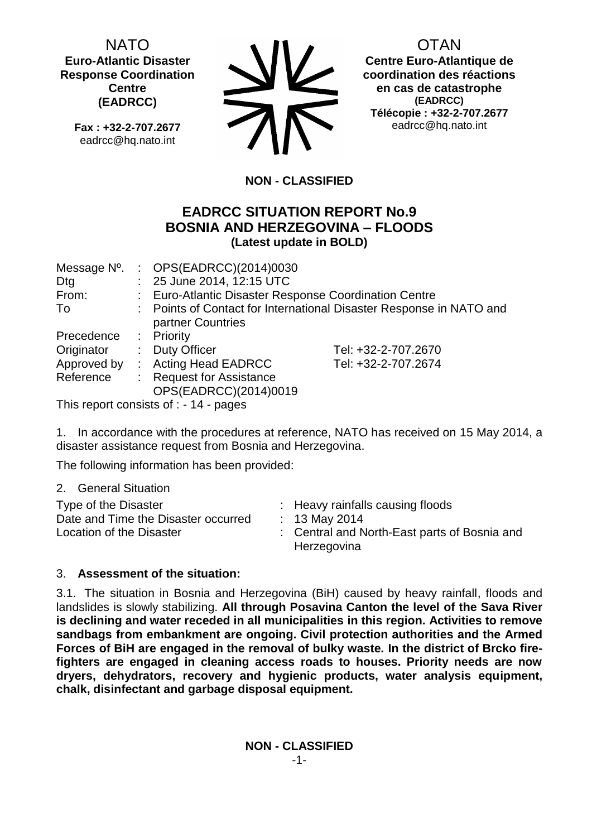NATO **Euro-Atlantic Disaster Response Coordination Centre (EADRCC)**

**Fax : +32-2-707.2677** eadrcc@hq.nato.int



OTAN

**Centre Euro-Atlantique de coordination des réactions en cas de catastrophe (EADRCC) Télécopie : +32-2-707.2677** eadrcc@hq.nato.int

# **NON - CLASSIFIED**

## **EADRCC SITUATION REPORT No.9 BOSNIA AND HERZEGOVINA – FLOODS (Latest update in BOLD)**

| Message N <sup>o</sup> . | : $OPS(EADRCC)(2014)0030$                             |                                                                     |
|--------------------------|-------------------------------------------------------|---------------------------------------------------------------------|
| Dtg                      | : 25 June 2014, 12:15 UTC                             |                                                                     |
| From:                    | : Euro-Atlantic Disaster Response Coordination Centre |                                                                     |
| To                       |                                                       | : Points of Contact for International Disaster Response in NATO and |
|                          | partner Countries                                     |                                                                     |
| Precedence               | : Priority                                            |                                                                     |
| Originator               | : Duty Officer                                        | Tel: +32-2-707.2670                                                 |
| Approved by              | : Acting Head EADRCC                                  | Tel: +32-2-707.2674                                                 |
| Reference                | <b>Request for Assistance</b>                         |                                                                     |
|                          | OPS(EADRCC)(2014)0019                                 |                                                                     |

This report consists of : - 14 - pages

1. In accordance with the procedures at reference, NATO has received on 15 May 2014, a disaster assistance request from Bosnia and Herzegovina.

The following information has been provided:

2. General Situation

| Type of the Disaster<br>Date and Time the Disaster occurred<br>Location of the Disaster | : Heavy rainfalls causing floods<br>: 13 May 2014<br>: Central and North-East parts of Bosnia and<br>Herzegovina |
|-----------------------------------------------------------------------------------------|------------------------------------------------------------------------------------------------------------------|
|-----------------------------------------------------------------------------------------|------------------------------------------------------------------------------------------------------------------|

### 3. **Assessment of the situation:**

3.1. The situation in Bosnia and Herzegovina (BiH) caused by heavy rainfall, floods and landslides is slowly stabilizing. **All through Posavina Canton the level of the Sava River is declining and water receded in all municipalities in this region. Activities to remove sandbags from embankment are ongoing. Civil protection authorities and the Armed Forces of BiH are engaged in the removal of bulky waste. In the district of Brcko firefighters are engaged in cleaning access roads to houses. Priority needs are now dryers, dehydrators, recovery and hygienic products, water analysis equipment, chalk, disinfectant and garbage disposal equipment.**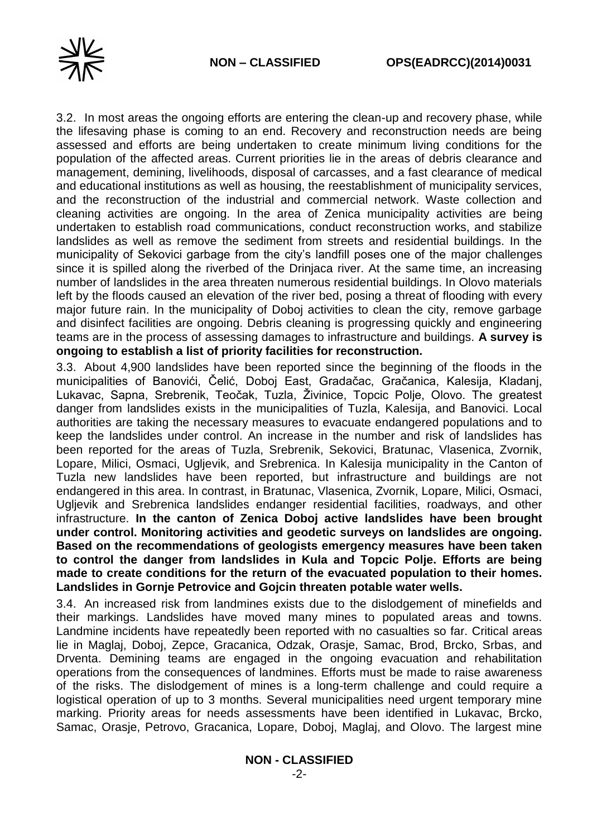



3.2. In most areas the ongoing efforts are entering the clean-up and recovery phase, while the lifesaving phase is coming to an end. Recovery and reconstruction needs are being assessed and efforts are being undertaken to create minimum living conditions for the population of the affected areas. Current priorities lie in the areas of debris clearance and management, demining, livelihoods, disposal of carcasses, and a fast clearance of medical and educational institutions as well as housing, the reestablishment of municipality services, and the reconstruction of the industrial and commercial network. Waste collection and cleaning activities are ongoing. In the area of Zenica municipality activities are being undertaken to establish road communications, conduct reconstruction works, and stabilize landslides as well as remove the sediment from streets and residential buildings. In the municipality of Sekovici garbage from the city's landfill poses one of the major challenges since it is spilled along the riverbed of the Drinjaca river. At the same time, an increasing number of landslides in the area threaten numerous residential buildings. In Olovo materials left by the floods caused an elevation of the river bed, posing a threat of flooding with every major future rain. In the municipality of Doboj activities to clean the city, remove garbage and disinfect facilities are ongoing. Debris cleaning is progressing quickly and engineering teams are in the process of assessing damages to infrastructure and buildings. **A survey is ongoing to establish a list of priority facilities for reconstruction.**

3.3. About 4,900 landslides have been reported since the beginning of the floods in the municipalities of Banovići, Čelić, Doboj East, Gradačac, Gračanica, Kalesija, Kladanj, Lukavac, Sapna, Srebrenik, Teočak, Tuzla, Živinice, Topcic Polje, Olovo. The greatest danger from landslides exists in the municipalities of Tuzla, Kalesija, and Banovici. Local authorities are taking the necessary measures to evacuate endangered populations and to keep the landslides under control. An increase in the number and risk of landslides has been reported for the areas of Tuzla, Srebrenik, Sekovici, Bratunac, Vlasenica, Zvornik, Lopare, Milici, Osmaci, Ugljevik, and Srebrenica. In Kalesija municipality in the Canton of Tuzla new landslides have been reported, but infrastructure and buildings are not endangered in this area. In contrast, in Bratunac, Vlasenica, Zvornik, Lopare, Milici, Osmaci, Ugljevik and Srebrenica landslides endanger residential facilities, roadways, and other infrastructure. **In the canton of Zenica Doboj active landslides have been brought under control. Monitoring activities and geodetic surveys on landslides are ongoing. Based on the recommendations of geologists emergency measures have been taken to control the danger from landslides in Kula and Topcic Polje. Efforts are being made to create conditions for the return of the evacuated population to their homes. Landslides in Gornje Petrovice and Gojcin threaten potable water wells.**

3.4. An increased risk from landmines exists due to the dislodgement of minefields and their markings. Landslides have moved many mines to populated areas and towns. Landmine incidents have repeatedly been reported with no casualties so far. Critical areas lie in Maglaj, Doboj, Zepce, Gracanica, Odzak, Orasje, Samac, Brod, Brcko, Srbas, and Drventa. Demining teams are engaged in the ongoing evacuation and rehabilitation operations from the consequences of landmines. Efforts must be made to raise awareness of the risks. The dislodgement of mines is a long-term challenge and could require a logistical operation of up to 3 months. Several municipalities need urgent temporary mine marking. Priority areas for needs assessments have been identified in Lukavac, Brcko, Samac, Orasje, Petrovo, Gracanica, Lopare, Doboj, Maglaj, and Olovo. The largest mine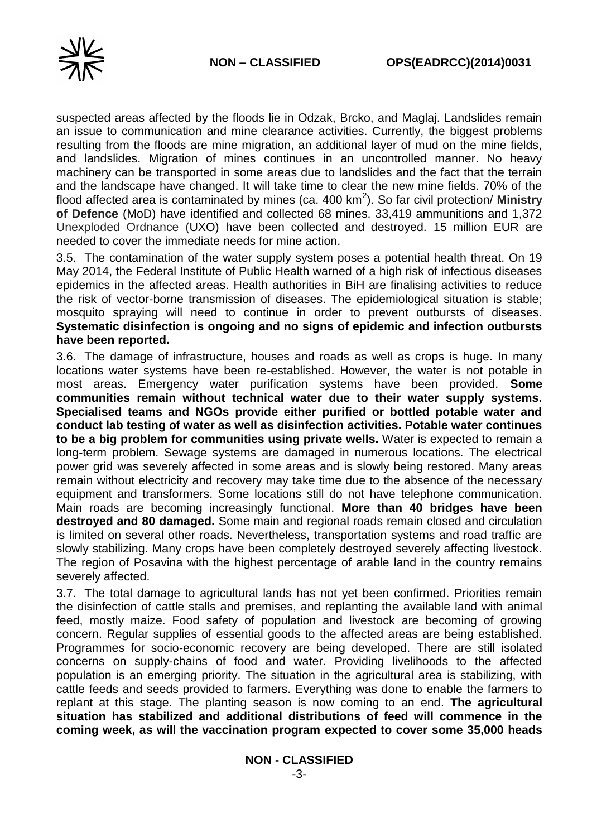

suspected areas affected by the floods lie in Odzak, Brcko, and Maglaj. Landslides remain an issue to communication and mine clearance activities. Currently, the biggest problems resulting from the floods are mine migration, an additional layer of mud on the mine fields, and landslides. Migration of mines continues in an uncontrolled manner. No heavy machinery can be transported in some areas due to landslides and the fact that the terrain and the landscape have changed. It will take time to clear the new mine fields. 70% of the flood affected area is contaminated by mines (ca. 400 km<sup>2</sup> ). So far civil protection/ **Ministry of Defence** (MoD) have identified and collected 68 mines. 33,419 ammunitions and 1,372 Unexploded Ordnance (UXO) have been collected and destroyed. 15 million EUR are needed to cover the immediate needs for mine action.

3.5. The contamination of the water supply system poses a potential health threat. On 19 May 2014, the Federal Institute of Public Health warned of a high risk of infectious diseases epidemics in the affected areas. Health authorities in BiH are finalising activities to reduce the risk of vector-borne transmission of diseases. The epidemiological situation is stable; mosquito spraying will need to continue in order to prevent outbursts of diseases. **Systematic disinfection is ongoing and no signs of epidemic and infection outbursts have been reported.**

3.6. The damage of infrastructure, houses and roads as well as crops is huge. In many locations water systems have been re-established. However, the water is not potable in most areas. Emergency water purification systems have been provided. **Some communities remain without technical water due to their water supply systems. Specialised teams and NGOs provide either purified or bottled potable water and conduct lab testing of water as well as disinfection activities. Potable water continues to be a big problem for communities using private wells.** Water is expected to remain a long-term problem. Sewage systems are damaged in numerous locations. The electrical power grid was severely affected in some areas and is slowly being restored. Many areas remain without electricity and recovery may take time due to the absence of the necessary equipment and transformers. Some locations still do not have telephone communication. Main roads are becoming increasingly functional. **More than 40 bridges have been destroyed and 80 damaged.** Some main and regional roads remain closed and circulation is limited on several other roads. Nevertheless, transportation systems and road traffic are slowly stabilizing. Many crops have been completely destroyed severely affecting livestock. The region of Posavina with the highest percentage of arable land in the country remains severely affected.

3.7. The total damage to agricultural lands has not yet been confirmed. Priorities remain the disinfection of cattle stalls and premises, and replanting the available land with animal feed, mostly maize. Food safety of population and livestock are becoming of growing concern. Regular supplies of essential goods to the affected areas are being established. Programmes for socio-economic recovery are being developed. There are still isolated concerns on supply-chains of food and water. Providing livelihoods to the affected population is an emerging priority. The situation in the agricultural area is stabilizing, with cattle feeds and seeds provided to farmers. Everything was done to enable the farmers to replant at this stage. The planting season is now coming to an end. **The agricultural situation has stabilized and additional distributions of feed will commence in the coming week, as will the vaccination program expected to cover some 35,000 heads**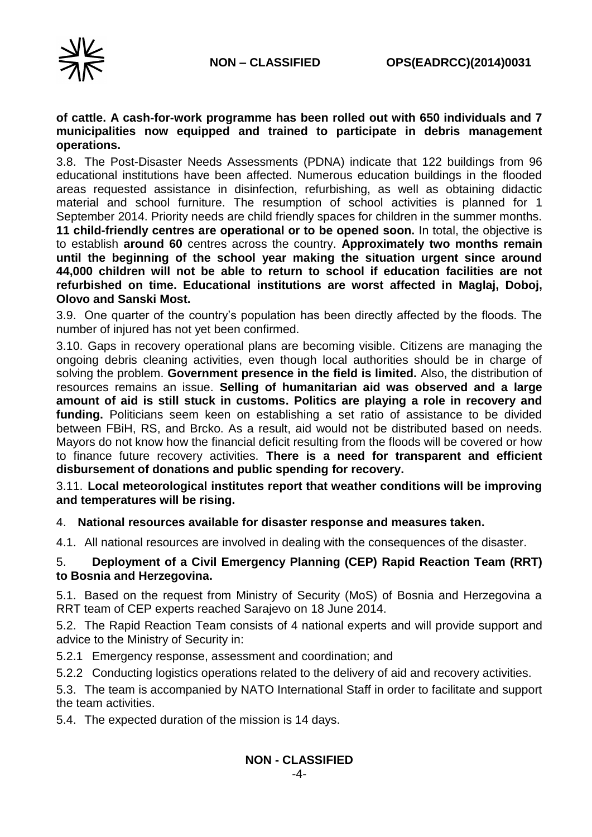

#### **of cattle. A cash-for-work programme has been rolled out with 650 individuals and 7 municipalities now equipped and trained to participate in debris management operations.**

3.8. The Post-Disaster Needs Assessments (PDNA) indicate that 122 buildings from 96 educational institutions have been affected. Numerous education buildings in the flooded areas requested assistance in disinfection, refurbishing, as well as obtaining didactic material and school furniture. The resumption of school activities is planned for 1 September 2014. Priority needs are child friendly spaces for children in the summer months. **11 child-friendly centres are operational or to be opened soon.** In total, the objective is to establish **around 60** centres across the country. **Approximately two months remain until the beginning of the school year making the situation urgent since around 44,000 children will not be able to return to school if education facilities are not refurbished on time. Educational institutions are worst affected in Maglaj, Doboj, Olovo and Sanski Most.**

3.9. One quarter of the country's population has been directly affected by the floods. The number of injured has not yet been confirmed.

3.10. Gaps in recovery operational plans are becoming visible. Citizens are managing the ongoing debris cleaning activities, even though local authorities should be in charge of solving the problem. **Government presence in the field is limited.** Also, the distribution of resources remains an issue. **Selling of humanitarian aid was observed and a large amount of aid is still stuck in customs. Politics are playing a role in recovery and funding.** Politicians seem keen on establishing a set ratio of assistance to be divided between FBiH, RS, and Brcko. As a result, aid would not be distributed based on needs. Mayors do not know how the financial deficit resulting from the floods will be covered or how to finance future recovery activities. **There is a need for transparent and efficient disbursement of donations and public spending for recovery.**

3.11. **Local meteorological institutes report that weather conditions will be improving and temperatures will be rising.**

#### 4. **National resources available for disaster response and measures taken.**

4.1. All national resources are involved in dealing with the consequences of the disaster.

### 5. **Deployment of a Civil Emergency Planning (CEP) Rapid Reaction Team (RRT) to Bosnia and Herzegovina.**

5.1. Based on the request from Ministry of Security (MoS) of Bosnia and Herzegovina a RRT team of CEP experts reached Sarajevo on 18 June 2014.

5.2. The Rapid Reaction Team consists of 4 national experts and will provide support and advice to the Ministry of Security in:

5.2.1 Emergency response, assessment and coordination; and

5.2.2 Conducting logistics operations related to the delivery of aid and recovery activities.

5.3. The team is accompanied by NATO International Staff in order to facilitate and support the team activities.

5.4. The expected duration of the mission is 14 days.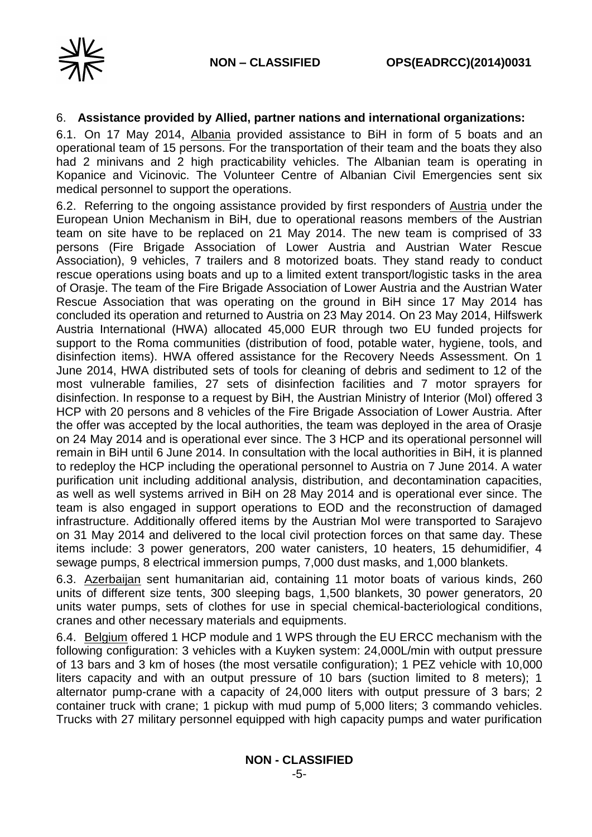

#### 6. **Assistance provided by Allied, partner nations and international organizations:**

6.1. On 17 May 2014, Albania provided assistance to BiH in form of 5 boats and an operational team of 15 persons. For the transportation of their team and the boats they also had 2 minivans and 2 high practicability vehicles. The Albanian team is operating in Kopanice and Vicinovic. The Volunteer Centre of Albanian Civil Emergencies sent six medical personnel to support the operations.

6.2. Referring to the ongoing assistance provided by first responders of Austria under the European Union Mechanism in BiH, due to operational reasons members of the Austrian team on site have to be replaced on 21 May 2014. The new team is comprised of 33 persons (Fire Brigade Association of Lower Austria and Austrian Water Rescue Association), 9 vehicles, 7 trailers and 8 motorized boats. They stand ready to conduct rescue operations using boats and up to a limited extent transport/logistic tasks in the area of Orasje. The team of the Fire Brigade Association of Lower Austria and the Austrian Water Rescue Association that was operating on the ground in BiH since 17 May 2014 has concluded its operation and returned to Austria on 23 May 2014. On 23 May 2014, Hilfswerk Austria International (HWA) allocated 45,000 EUR through two EU funded projects for support to the Roma communities (distribution of food, potable water, hygiene, tools, and disinfection items). HWA offered assistance for the Recovery Needs Assessment. On 1 June 2014, HWA distributed sets of tools for cleaning of debris and sediment to 12 of the most vulnerable families, 27 sets of disinfection facilities and 7 motor sprayers for disinfection. In response to a request by BiH, the Austrian Ministry of Interior (MoI) offered 3 HCP with 20 persons and 8 vehicles of the Fire Brigade Association of Lower Austria. After the offer was accepted by the local authorities, the team was deployed in the area of Orasje on 24 May 2014 and is operational ever since. The 3 HCP and its operational personnel will remain in BiH until 6 June 2014. In consultation with the local authorities in BiH, it is planned to redeploy the HCP including the operational personnel to Austria on 7 June 2014. A water purification unit including additional analysis, distribution, and decontamination capacities, as well as well systems arrived in BiH on 28 May 2014 and is operational ever since. The team is also engaged in support operations to EOD and the reconstruction of damaged infrastructure. Additionally offered items by the Austrian MoI were transported to Sarajevo on 31 May 2014 and delivered to the local civil protection forces on that same day. These items include: 3 power generators, 200 water canisters, 10 heaters, 15 dehumidifier, 4 sewage pumps, 8 electrical immersion pumps, 7,000 dust masks, and 1,000 blankets.

6.3. Azerbaijan sent humanitarian aid, containing 11 motor boats of various kinds, 260 units of different size tents, 300 sleeping bags, 1,500 blankets, 30 power generators, 20 units water pumps, sets of clothes for use in special chemical-bacteriological conditions, cranes and other necessary materials and equipments.

6.4. Belgium offered 1 HCP module and 1 WPS through the EU ERCC mechanism with the following configuration: 3 vehicles with a Kuyken system: 24,000L/min with output pressure of 13 bars and 3 km of hoses (the most versatile configuration); 1 PEZ vehicle with 10,000 liters capacity and with an output pressure of 10 bars (suction limited to 8 meters); 1 alternator pump-crane with a capacity of 24,000 liters with output pressure of 3 bars; 2 container truck with crane; 1 pickup with mud pump of 5,000 liters; 3 commando vehicles. Trucks with 27 military personnel equipped with high capacity pumps and water purification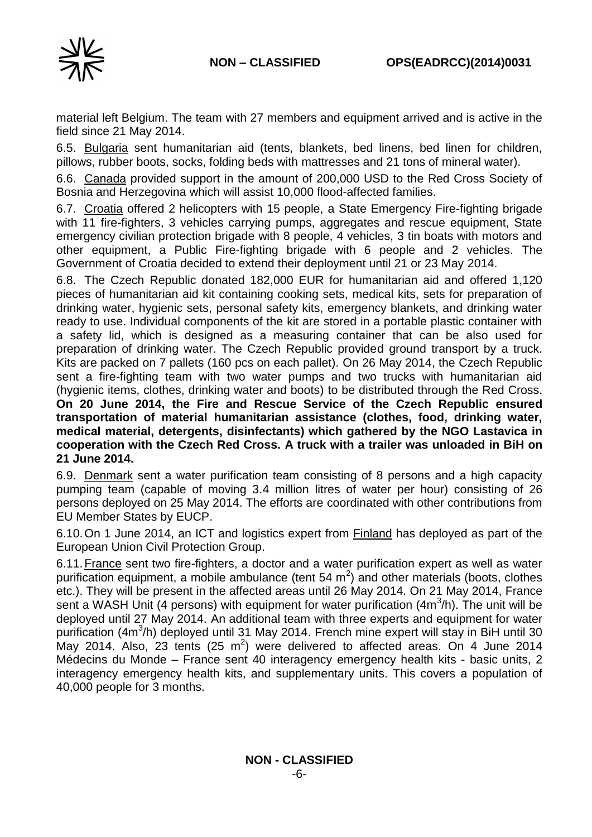

material left Belgium. The team with 27 members and equipment arrived and is active in the field since 21 May 2014.

6.5. Bulgaria sent humanitarian aid (tents, blankets, bed linens, bed linen for children, pillows, rubber boots, socks, folding beds with mattresses and 21 tons of mineral water).

6.6. Canada provided support in the amount of 200,000 USD to the Red Cross Society of Bosnia and Herzegovina which will assist 10,000 flood-affected families.

6.7. Croatia offered 2 helicopters with 15 people, a State Emergency Fire-fighting brigade with 11 fire-fighters, 3 vehicles carrying pumps, aggregates and rescue equipment, State emergency civilian protection brigade with 8 people, 4 vehicles, 3 tin boats with motors and other equipment, a Public Fire-fighting brigade with 6 people and 2 vehicles. The Government of Croatia decided to extend their deployment until 21 or 23 May 2014.

6.8. The Czech Republic donated 182,000 EUR for humanitarian aid and offered 1,120 pieces of humanitarian aid kit containing cooking sets, medical kits, sets for preparation of drinking water, hygienic sets, personal safety kits, emergency blankets, and drinking water ready to use. Individual components of the kit are stored in a portable plastic container with a safety lid, which is designed as a measuring container that can be also used for preparation of drinking water. The Czech Republic provided ground transport by a truck. Kits are packed on 7 pallets (160 pcs on each pallet). On 26 May 2014, the Czech Republic sent a fire-fighting team with two water pumps and two trucks with humanitarian aid (hygienic items, clothes, drinking water and boots) to be distributed through the Red Cross. **On 20 June 2014, the Fire and Rescue Service of the Czech Republic ensured transportation of material humanitarian assistance (clothes, food, drinking water, medical material, detergents, disinfectants) which gathered by the NGO Lastavica in cooperation with the Czech Red Cross. A truck with a trailer was unloaded in BiH on 21 June 2014.**

6.9. Denmark sent a water purification team consisting of 8 persons and a high capacity pumping team (capable of moving 3.4 million litres of water per hour) consisting of 26 persons deployed on 25 May 2014. The efforts are coordinated with other contributions from EU Member States by EUCP.

6.10.On 1 June 2014, an ICT and logistics expert from Finland has deployed as part of the European Union Civil Protection Group.

6.11.France sent two fire-fighters, a doctor and a water purification expert as well as water purification equipment, a mobile ambulance (tent 54  $m^2$ ) and other materials (boots, clothes etc.). They will be present in the affected areas until 26 May 2014. On 21 May 2014, France sent a WASH Unit (4 persons) with equipment for water purification (4m<sup>3</sup>/h). The unit will be deployed until 27 May 2014. An additional team with three experts and equipment for water purification (4m<sup>3</sup>/h) deployed until 31 May 2014. French mine expert will stay in BiH until 30 May 2014. Also, 23 tents (25  $m^2$ ) were delivered to affected areas. On 4 June 2014 Médecins du Monde – France sent 40 interagency emergency health kits - basic units, 2 interagency emergency health kits, and supplementary units. This covers a population of 40,000 people for 3 months.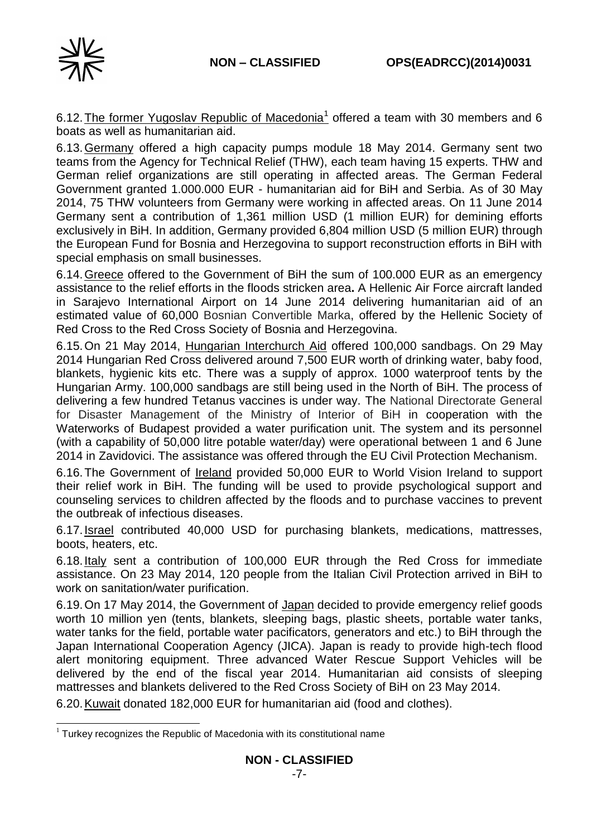

6.12. The former Yugoslav Republic of Macedonia<sup>1</sup> offered a team with 30 members and 6 boats as well as humanitarian aid.

6.13.Germany offered a high capacity pumps module 18 May 2014. Germany sent two teams from the Agency for Technical Relief (THW), each team having 15 experts. THW and German relief organizations are still operating in affected areas. The German Federal Government granted 1.000.000 EUR - humanitarian aid for BiH and Serbia. As of 30 May 2014, 75 THW volunteers from Germany were working in affected areas. On 11 June 2014 Germany sent a contribution of 1,361 million USD (1 million EUR) for demining efforts exclusively in BiH. In addition, Germany provided 6,804 million USD (5 million EUR) through the European Fund for Bosnia and Herzegovina to support reconstruction efforts in BiH with special emphasis on small businesses.

6.14. Greece offered to the Government of BiH the sum of 100.000 EUR as an emergency assistance to the relief efforts in the floods stricken area**.** A Hellenic Air Force aircraft landed in Sarajevo International Airport on 14 June 2014 delivering humanitarian aid of an estimated value of 60,000 Bosnian Convertible Marka, offered by the Hellenic Society of Red Cross to the Red Cross Society of Bosnia and Herzegovina.

6.15.On 21 May 2014, Hungarian Interchurch Aid offered 100,000 sandbags. On 29 May 2014 Hungarian Red Cross delivered around 7,500 EUR worth of drinking water, baby food, blankets, hygienic kits etc. There was a supply of approx. 1000 waterproof tents by the Hungarian Army. 100,000 sandbags are still being used in the North of BiH. The process of delivering a few hundred Tetanus vaccines is under way. The National Directorate General for Disaster Management of the Ministry of Interior of BiH in cooperation with the Waterworks of Budapest provided a water purification unit. The system and its personnel (with a capability of 50,000 litre potable water/day) were operational between 1 and 6 June 2014 in Zavidovici. The assistance was offered through the EU Civil Protection Mechanism.

6.16.The Government of Ireland provided 50,000 EUR to World Vision Ireland to support their relief work in BiH. The funding will be used to provide psychological support and counseling services to children affected by the floods and to purchase vaccines to prevent the outbreak of infectious diseases.

6.17.Israel contributed 40,000 USD for purchasing blankets, medications, mattresses, boots, heaters, etc.

6.18.Italy sent a contribution of 100,000 EUR through the Red Cross for immediate assistance. On 23 May 2014, 120 people from the Italian Civil Protection arrived in BiH to work on sanitation/water purification.

6.19.On 17 May 2014, the Government of Japan decided to provide emergency relief goods worth 10 million yen (tents, blankets, sleeping bags, plastic sheets, portable water tanks, water tanks for the field, portable water pacificators, generators and etc.) to BiH through the Japan International Cooperation Agency (JICA). Japan is ready to provide high-tech flood alert monitoring equipment. Three advanced Water Rescue Support Vehicles will be delivered by the end of the fiscal year 2014. Humanitarian aid consists of sleeping mattresses and blankets delivered to the Red Cross Society of BiH on 23 May 2014.

6.20.Kuwait donated 182,000 EUR for humanitarian aid (food and clothes).

<sup>-</sup> $1$  Turkey recognizes the Republic of Macedonia with its constitutional name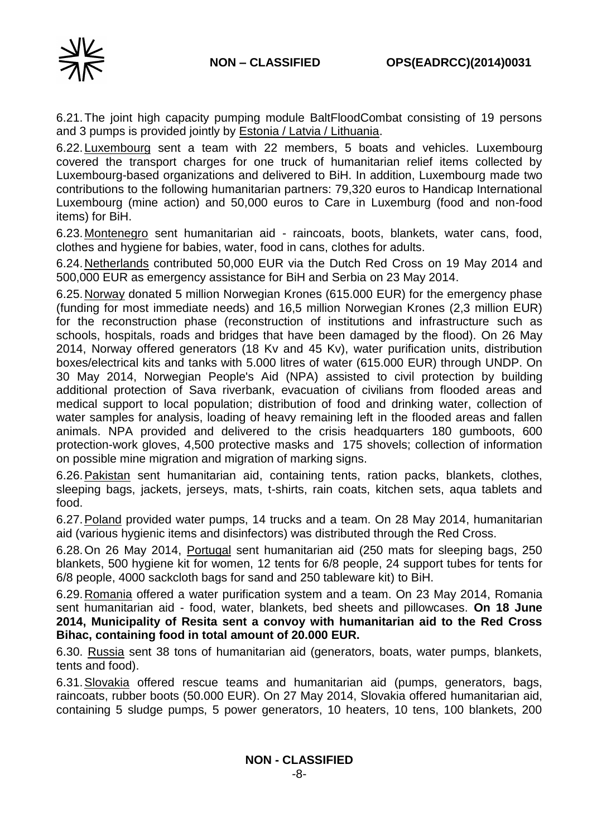

6.21.The joint high capacity pumping module BaltFloodCombat consisting of 19 persons and 3 pumps is provided jointly by **Estonia / Latvia / Lithuania.** 

6.22.Luxembourg sent a team with 22 members, 5 boats and vehicles. Luxembourg covered the transport charges for one truck of humanitarian relief items collected by Luxembourg-based organizations and delivered to BiH. In addition, Luxembourg made two contributions to the following humanitarian partners: 79,320 euros to Handicap International Luxembourg (mine action) and 50,000 euros to Care in Luxemburg (food and non-food items) for BiH.

6.23.Montenegro sent humanitarian aid - raincoats, boots, blankets, water cans, food, clothes and hygiene for babies, water, food in cans, clothes for adults.

6.24.Netherlands contributed 50,000 EUR via the Dutch Red Cross on 19 May 2014 and 500,000 EUR as emergency assistance for BiH and Serbia on 23 May 2014.

6.25.Norway donated 5 million Norwegian Krones (615.000 EUR) for the emergency phase (funding for most immediate needs) and 16,5 million Norwegian Krones (2,3 million EUR) for the reconstruction phase (reconstruction of institutions and infrastructure such as schools, hospitals, roads and bridges that have been damaged by the flood). On 26 May 2014, Norway offered generators (18 Kv and 45 Kv), water purification units, distribution boxes/electrical kits and tanks with 5.000 litres of water (615.000 EUR) through UNDP. On 30 May 2014, Norwegian People's Aid (NPA) assisted to civil protection by building additional protection of Sava riverbank, evacuation of civilians from flooded areas and medical support to local population; distribution of food and drinking water, collection of water samples for analysis, loading of heavy remaining left in the flooded areas and fallen animals. NPA provided and delivered to the crisis headquarters 180 gumboots, 600 protection-work gloves, 4,500 protective masks and 175 shovels; collection of information on possible mine migration and migration of marking signs.

6.26. Pakistan sent humanitarian aid, containing tents, ration packs, blankets, clothes, sleeping bags, jackets, jerseys, mats, t-shirts, rain coats, kitchen sets, aqua tablets and food.

6.27.Poland provided water pumps, 14 trucks and a team. On 28 May 2014, humanitarian aid (various hygienic items and disinfectors) was distributed through the Red Cross.

6.28.On 26 May 2014, Portugal sent humanitarian aid (250 mats for sleeping bags, 250 blankets, 500 hygiene kit for women, 12 tents for 6/8 people, 24 support tubes for tents for 6/8 people, 4000 sackcloth bags for sand and 250 tableware kit) to BiH.

6.29.Romania offered a water purification system and a team. On 23 May 2014, Romania sent humanitarian aid - food, water, blankets, bed sheets and pillowcases. **On 18 June 2014, Municipality of Resita sent a convoy with humanitarian aid to the Red Cross Bihac, containing food in total amount of 20.000 EUR.**

6.30. Russia sent 38 tons of humanitarian aid (generators, boats, water pumps, blankets, tents and food).

6.31.Slovakia offered rescue teams and humanitarian aid (pumps, generators, bags, raincoats, rubber boots (50.000 EUR). On 27 May 2014, Slovakia offered humanitarian aid, containing 5 sludge pumps, 5 power generators, 10 heaters, 10 tens, 100 blankets, 200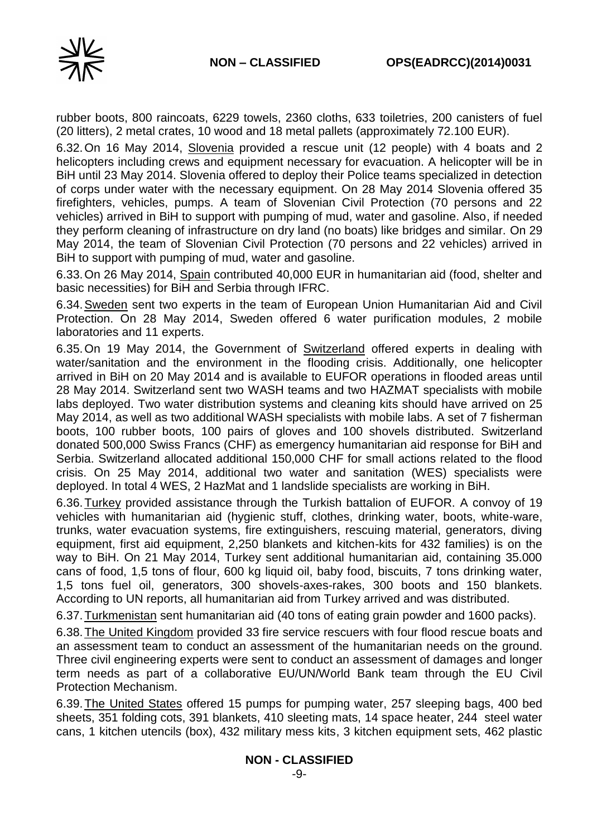

rubber boots, 800 raincoats, 6229 towels, 2360 cloths, 633 toiletries, 200 canisters of fuel (20 litters), 2 metal crates, 10 wood and 18 metal pallets (approximately 72.100 EUR).

6.32.On 16 May 2014, Slovenia provided a rescue unit (12 people) with 4 boats and 2 helicopters including crews and equipment necessary for evacuation. A helicopter will be in BiH until 23 May 2014. Slovenia offered to deploy their Police teams specialized in detection of corps under water with the necessary equipment. On 28 May 2014 Slovenia offered 35 firefighters, vehicles, pumps. A team of Slovenian Civil Protection (70 persons and 22 vehicles) arrived in BiH to support with pumping of mud, water and gasoline. Also, if needed they perform cleaning of infrastructure on dry land (no boats) like bridges and similar. On 29 May 2014, the team of Slovenian Civil Protection (70 persons and 22 vehicles) arrived in BiH to support with pumping of mud, water and gasoline.

6.33.On 26 May 2014, Spain contributed 40,000 EUR in humanitarian aid (food, shelter and basic necessities) for BiH and Serbia through IFRC.

6.34.Sweden sent two experts in the team of European Union Humanitarian Aid and Civil Protection. On 28 May 2014, Sweden offered 6 water purification modules, 2 mobile laboratories and 11 experts.

6.35.On 19 May 2014, the Government of Switzerland offered experts in dealing with water/sanitation and the environment in the flooding crisis. Additionally, one helicopter arrived in BiH on 20 May 2014 and is available to EUFOR operations in flooded areas until 28 May 2014. Switzerland sent two WASH teams and two HAZMAT specialists with mobile labs deployed. Two water distribution systems and cleaning kits should have arrived on 25 May 2014, as well as two additional WASH specialists with mobile labs. A set of 7 fisherman boots, 100 rubber boots, 100 pairs of gloves and 100 shovels distributed. Switzerland donated 500,000 Swiss Francs (CHF) as emergency humanitarian aid response for BiH and Serbia. Switzerland allocated additional 150,000 CHF for small actions related to the flood crisis. On 25 May 2014, additional two water and sanitation (WES) specialists were deployed. In total 4 WES, 2 HazMat and 1 landslide specialists are working in BiH.

6.36.Turkey provided assistance through the Turkish battalion of EUFOR. A convoy of 19 vehicles with humanitarian aid (hygienic stuff, clothes, drinking water, boots, white-ware, trunks, water evacuation systems, fire extinguishers, rescuing material, generators, diving equipment, first aid equipment, 2,250 blankets and kitchen-kits for 432 families) is on the way to BiH. On 21 May 2014, Turkey sent additional humanitarian aid, containing 35.000 cans of food, 1,5 tons of flour, 600 kg liquid oil, baby food, biscuits, 7 tons drinking water, 1,5 tons fuel oil, generators, 300 shovels-axes-rakes, 300 boots and 150 blankets. According to UN reports, all humanitarian aid from Turkey arrived and was distributed.

6.37.Turkmenistan sent humanitarian aid (40 tons of eating grain powder and 1600 packs).

6.38.The United Kingdom provided 33 fire service rescuers with four flood rescue boats and an assessment team to conduct an assessment of the humanitarian needs on the ground. Three civil engineering experts were sent to conduct an assessment of damages and longer term needs as part of a collaborative EU/UN/World Bank team through the EU Civil Protection Mechanism.

6.39.The United States offered 15 pumps for pumping water, 257 sleeping bags, 400 bed sheets, 351 folding cots, 391 blankets, 410 sleeting mats, 14 space heater, 244 steel water cans, 1 kitchen utencils (box), 432 military mess kits, 3 kitchen equipment sets, 462 plastic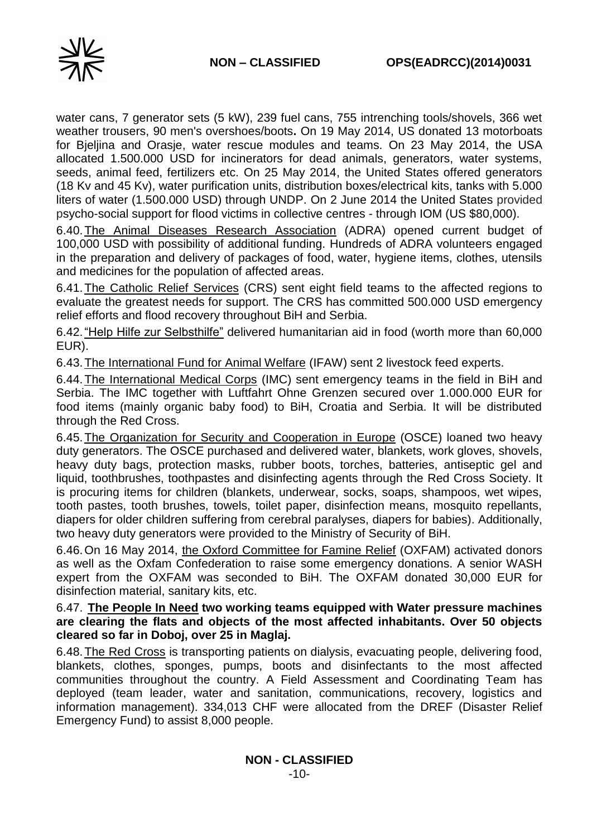

water cans, 7 generator sets (5 kW), 239 fuel cans, 755 intrenching tools/shovels, 366 wet weather trousers, 90 men's overshoes/boots**.** On 19 May 2014, US donated 13 motorboats for Bjeljina and Orasje, water rescue modules and teams. On 23 May 2014, the USA allocated 1.500.000 USD for incinerators for dead animals, generators, water systems, seeds, animal feed, fertilizers etc. On 25 May 2014, the United States offered generators (18 Kv and 45 Kv), water purification units, distribution boxes/electrical kits, tanks with 5.000 liters of water (1.500.000 USD) through UNDP. On 2 June 2014 the United States provided psycho-social support for flood victims in collective centres - through IOM (US \$80,000).

6.40.The Animal Diseases Research Association (ADRA) opened current budget of 100,000 USD with possibility of additional funding. Hundreds of ADRA volunteers engaged in the preparation and delivery of packages of food, water, hygiene items, clothes, utensils and medicines for the population of affected areas.

6.41.The Catholic Relief Services (CRS) sent eight field teams to the affected regions to evaluate the greatest needs for support. The CRS has committed 500.000 USD emergency relief efforts and flood recovery throughout BiH and Serbia.

6.42."Help Hilfe zur Selbsthilfe" delivered humanitarian aid in food (worth more than 60,000 EUR).

6.43.The International Fund for Animal Welfare (IFAW) sent 2 livestock feed experts.

6.44.The International Medical Corps (IMC) sent emergency teams in the field in BiH and Serbia. The IMC together with Luftfahrt Ohne Grenzen secured over 1.000.000 EUR for food items (mainly organic baby food) to BiH, Croatia and Serbia. It will be distributed through the Red Cross.

6.45.The Organization for Security and Cooperation in Europe (OSCE) loaned two heavy duty generators. The OSCE purchased and delivered water, blankets, work gloves, shovels, heavy duty bags, protection masks, rubber boots, torches, batteries, antiseptic gel and liquid, toothbrushes, toothpastes and disinfecting agents through the Red Cross Society. It is procuring items for children (blankets, underwear, socks, soaps, shampoos, wet wipes, tooth pastes, tooth brushes, towels, toilet paper, disinfection means, mosquito repellants, diapers for older children suffering from cerebral paralyses, diapers for babies). Additionally, two heavy duty generators were provided to the Ministry of Security of BiH.

6.46.On 16 May 2014, the Oxford Committee for Famine Relief (OXFAM) activated donors as well as the Oxfam Confederation to raise some emergency donations. A senior WASH expert from the OXFAM was seconded to BiH. The OXFAM donated 30,000 EUR for disinfection material, sanitary kits, etc.

6.47. **The People In Need two working teams equipped with Water pressure machines are clearing the flats and objects of the most affected inhabitants. Over 50 objects cleared so far in Doboj, over 25 in Maglaj.**

6.48.The Red Cross is transporting patients on dialysis, evacuating people, delivering food, blankets, clothes, sponges, pumps, boots and disinfectants to the most affected communities throughout the country. A Field Assessment and Coordinating Team has deployed (team leader, water and sanitation, communications, recovery, logistics and information management). 334,013 CHF were allocated from the DREF (Disaster Relief Emergency Fund) to assist 8,000 people.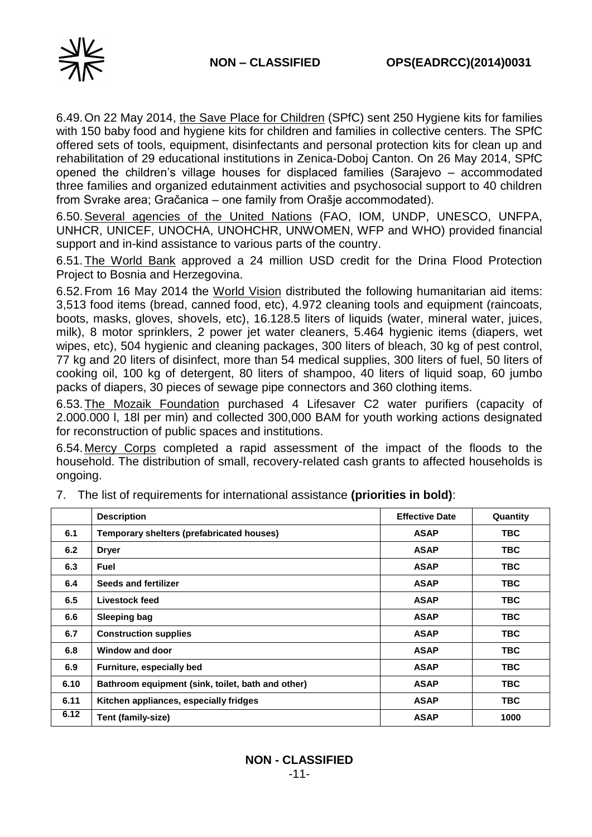

6.49.On 22 May 2014, the Save Place for Children (SPfC) sent 250 Hygiene kits for families with 150 baby food and hygiene kits for children and families in collective centers. The SPfC offered sets of tools, equipment, disinfectants and personal protection kits for clean up and rehabilitation of 29 educational institutions in Zenica-Doboj Canton. On 26 May 2014, SPfC opened the children's village houses for displaced families (Sarajevo – accommodated three families and organized edutainment activities and psychosocial support to 40 children from Svrake area; Gračanica – one family from Orašje accommodated).

6.50.Several agencies of the United Nations (FAO, IOM, UNDP, UNESCO, UNFPA, UNHCR, UNICEF, UNOCHA, UNOHCHR, UNWOMEN, WFP and WHO) provided financial support and in-kind assistance to various parts of the country.

6.51.The World Bank approved a 24 million USD credit for the Drina Flood Protection Project to Bosnia and Herzegovina.

6.52.From 16 May 2014 the World Vision distributed the following humanitarian aid items: 3,513 food items (bread, canned food, etc), 4.972 cleaning tools and equipment (raincoats, boots, masks, gloves, shovels, etc), 16.128.5 liters of liquids (water, mineral water, juices, milk), 8 motor sprinklers, 2 power jet water cleaners, 5.464 hygienic items (diapers, wet wipes, etc), 504 hygienic and cleaning packages, 300 liters of bleach, 30 kg of pest control, 77 kg and 20 liters of disinfect, more than 54 medical supplies, 300 liters of fuel, 50 liters of cooking oil, 100 kg of detergent, 80 liters of shampoo, 40 liters of liquid soap, 60 jumbo packs of diapers, 30 pieces of sewage pipe connectors and 360 clothing items.

6.53.The Mozaik Foundation purchased 4 Lifesaver C2 water purifiers (capacity of 2.000.000 l, 18l per min) and collected 300,000 BAM for youth working actions designated for reconstruction of public spaces and institutions.

6.54.Mercy Corps completed a rapid assessment of the impact of the floods to the household. The distribution of small, recovery-related cash grants to affected households is ongoing.

|      | <b>Description</b>                                | <b>Effective Date</b> | Quantity   |
|------|---------------------------------------------------|-----------------------|------------|
| 6.1  | Temporary shelters (prefabricated houses)         | <b>ASAP</b>           | TBC.       |
| 6.2  | <b>Dryer</b>                                      | <b>ASAP</b>           | TBC.       |
| 6.3  | <b>Fuel</b>                                       | <b>ASAP</b>           | TBC.       |
| 6.4  | Seeds and fertilizer                              | <b>ASAP</b>           | TBC.       |
| 6.5  | Livestock feed                                    | <b>ASAP</b>           | TBC.       |
| 6.6  | Sleeping bag                                      | <b>ASAP</b>           | TBC.       |
| 6.7  | <b>Construction supplies</b>                      | <b>ASAP</b>           | <b>TBC</b> |
| 6.8  | Window and door                                   | <b>ASAP</b>           | TBC.       |
| 6.9  | Furniture, especially bed                         | <b>ASAP</b>           | TBC        |
| 6.10 | Bathroom equipment (sink, toilet, bath and other) | <b>ASAP</b>           | <b>TBC</b> |
| 6.11 | Kitchen appliances, especially fridges            | <b>ASAP</b>           | <b>TBC</b> |
| 6.12 | Tent (family-size)                                | <b>ASAP</b>           | 1000       |

7. The list of requirements for international assistance **(priorities in bold)**: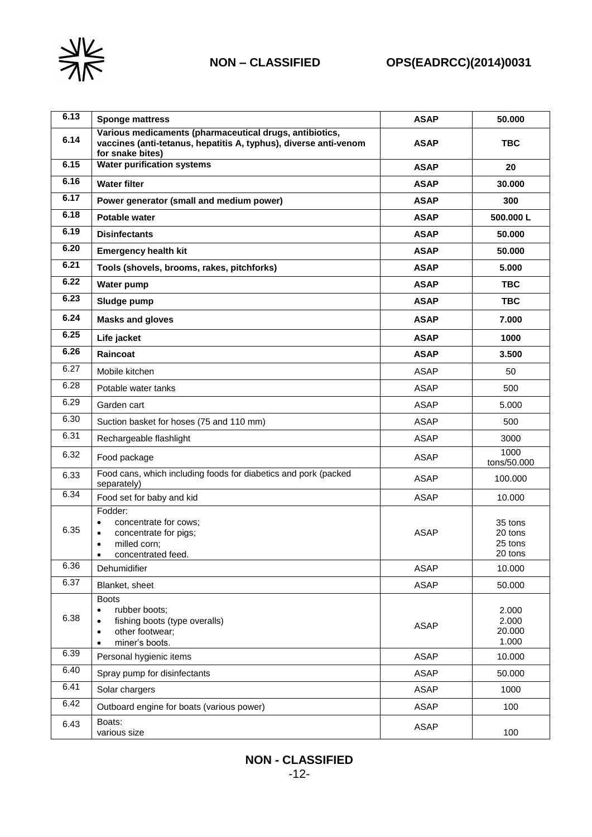

# **NON – CLASSIFIED OPS(EADRCC)(2014)0031**

| 6.13 | <b>Sponge mattress</b>                                                                                                                                  | <b>ASAP</b> | 50.000                                   |
|------|---------------------------------------------------------------------------------------------------------------------------------------------------------|-------------|------------------------------------------|
| 6.14 | Various medicaments (pharmaceutical drugs, antibiotics,<br>vaccines (anti-tetanus, hepatitis A, typhus), diverse anti-venom<br>for snake bites)         | <b>ASAP</b> | <b>TBC</b>                               |
| 6.15 | <b>Water purification systems</b>                                                                                                                       | <b>ASAP</b> | 20                                       |
| 6.16 | <b>Water filter</b>                                                                                                                                     | <b>ASAP</b> | 30.000                                   |
| 6.17 | Power generator (small and medium power)                                                                                                                | <b>ASAP</b> | 300                                      |
| 6.18 | <b>Potable water</b>                                                                                                                                    | <b>ASAP</b> | 500.000L                                 |
| 6.19 | <b>Disinfectants</b>                                                                                                                                    | <b>ASAP</b> | 50.000                                   |
| 6.20 | <b>Emergency health kit</b>                                                                                                                             | <b>ASAP</b> | 50.000                                   |
| 6.21 | Tools (shovels, brooms, rakes, pitchforks)                                                                                                              | <b>ASAP</b> | 5.000                                    |
| 6.22 | Water pump                                                                                                                                              | <b>ASAP</b> | <b>TBC</b>                               |
| 6.23 | Sludge pump                                                                                                                                             | <b>ASAP</b> | <b>TBC</b>                               |
| 6.24 | <b>Masks and gloves</b>                                                                                                                                 | <b>ASAP</b> | 7.000                                    |
| 6.25 | Life jacket                                                                                                                                             | <b>ASAP</b> | 1000                                     |
| 6.26 | Raincoat                                                                                                                                                | <b>ASAP</b> | 3.500                                    |
| 6.27 | Mobile kitchen                                                                                                                                          | <b>ASAP</b> | 50                                       |
| 6.28 | Potable water tanks                                                                                                                                     | <b>ASAP</b> | 500                                      |
| 6.29 | Garden cart                                                                                                                                             | <b>ASAP</b> | 5.000                                    |
| 6.30 | Suction basket for hoses (75 and 110 mm)                                                                                                                | <b>ASAP</b> | 500                                      |
| 6.31 | Rechargeable flashlight                                                                                                                                 | <b>ASAP</b> | 3000                                     |
| 6.32 | Food package                                                                                                                                            | <b>ASAP</b> | 1000<br>tons/50.000                      |
| 6.33 | Food cans, which including foods for diabetics and pork (packed<br>separately)                                                                          | <b>ASAP</b> | 100.000                                  |
| 6.34 | Food set for baby and kid                                                                                                                               | <b>ASAP</b> | 10.000                                   |
| 6.35 | Fodder:<br>concentrate for cows;<br>$\bullet$<br>concentrate for pigs;<br>$\bullet$<br>milled corn;<br>$\bullet$<br>concentrated feed.                  | <b>ASAP</b> | 35 tons<br>20 tons<br>25 tons<br>20 tons |
| 6.36 | Dehumidifier                                                                                                                                            | <b>ASAP</b> | 10.000                                   |
| 6.37 | Blanket, sheet                                                                                                                                          | <b>ASAP</b> | 50.000                                   |
| 6.38 | <b>Boots</b><br>rubber boots:<br>$\bullet$<br>fishing boots (type overalls)<br>$\bullet$<br>other footwear;<br>$\bullet$<br>miner's boots.<br>$\bullet$ | <b>ASAP</b> | 2.000<br>2.000<br>20.000<br>1.000        |
| 6.39 | Personal hygienic items                                                                                                                                 | <b>ASAP</b> | 10.000                                   |
| 6.40 | Spray pump for disinfectants                                                                                                                            | <b>ASAP</b> | 50.000                                   |
| 6.41 | Solar chargers                                                                                                                                          | <b>ASAP</b> | 1000                                     |
| 6.42 | Outboard engine for boats (various power)                                                                                                               | <b>ASAP</b> | 100                                      |
| 6.43 | Boats:<br>various size                                                                                                                                  | <b>ASAP</b> | 100                                      |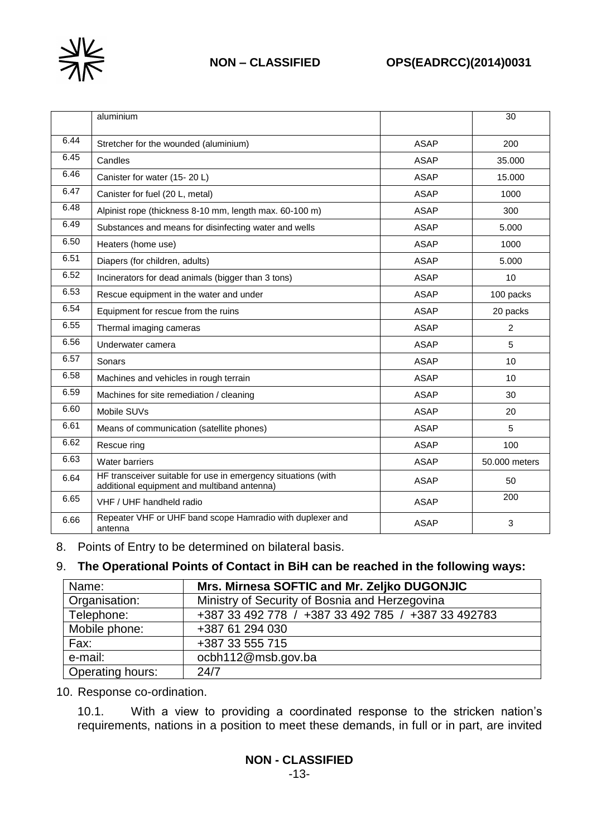

# **NON – CLASSIFIED OPS(EADRCC)(2014)0031**

|      | aluminium                                                                                                    |             | $\overline{30}$ |
|------|--------------------------------------------------------------------------------------------------------------|-------------|-----------------|
|      |                                                                                                              |             |                 |
| 6.44 | Stretcher for the wounded (aluminium)                                                                        | <b>ASAP</b> | 200             |
| 6.45 | Candles                                                                                                      | <b>ASAP</b> | 35.000          |
| 6.46 | Canister for water (15-20 L)                                                                                 | <b>ASAP</b> | 15.000          |
| 6.47 | Canister for fuel (20 L, metal)                                                                              | <b>ASAP</b> | 1000            |
| 6.48 | Alpinist rope (thickness 8-10 mm, length max. 60-100 m)                                                      | <b>ASAP</b> | 300             |
| 6.49 | Substances and means for disinfecting water and wells                                                        | <b>ASAP</b> | 5.000           |
| 6.50 | Heaters (home use)                                                                                           | <b>ASAP</b> | 1000            |
| 6.51 | Diapers (for children, adults)                                                                               | <b>ASAP</b> | 5.000           |
| 6.52 | Incinerators for dead animals (bigger than 3 tons)                                                           | <b>ASAP</b> | 10              |
| 6.53 | Rescue equipment in the water and under                                                                      | <b>ASAP</b> | 100 packs       |
| 6.54 | Equipment for rescue from the ruins                                                                          | <b>ASAP</b> | 20 packs        |
| 6.55 | Thermal imaging cameras                                                                                      | <b>ASAP</b> | $\overline{2}$  |
| 6.56 | Underwater camera                                                                                            | <b>ASAP</b> | 5               |
| 6.57 | Sonars                                                                                                       | <b>ASAP</b> | 10              |
| 6.58 | Machines and vehicles in rough terrain                                                                       | <b>ASAP</b> | 10              |
| 6.59 | Machines for site remediation / cleaning                                                                     | <b>ASAP</b> | 30              |
| 6.60 | Mobile SUVs                                                                                                  | <b>ASAP</b> | 20              |
| 6.61 | Means of communication (satellite phones)                                                                    | <b>ASAP</b> | 5               |
| 6.62 | Rescue ring                                                                                                  | <b>ASAP</b> | 100             |
| 6.63 | Water barriers                                                                                               | <b>ASAP</b> | 50.000 meters   |
| 6.64 | HF transceiver suitable for use in emergency situations (with<br>additional equipment and multiband antenna) | <b>ASAP</b> | 50              |
| 6.65 | VHF / UHF handheld radio                                                                                     | <b>ASAP</b> | 200             |
| 6.66 | Repeater VHF or UHF band scope Hamradio with duplexer and<br>antenna                                         | <b>ASAP</b> | 3               |

8. Points of Entry to be determined on bilateral basis.

### 9. **The Operational Points of Contact in BiH can be reached in the following ways:**

| Name:            | Mrs. Mirnesa SOFTIC and Mr. Zeljko DUGONJIC        |
|------------------|----------------------------------------------------|
| Organisation:    | Ministry of Security of Bosnia and Herzegovina     |
| Telephone:       | +387 33 492 778 / +387 33 492 785 / +387 33 492783 |
| Mobile phone:    | +387 61 294 030                                    |
| Fax:             | +387 33 555 715                                    |
| e-mail:          | ocbh112@msb.gov.ba                                 |
| Operating hours: | 24/7                                               |

10. Response co-ordination.

10.1. With a view to providing a coordinated response to the stricken nation's requirements, nations in a position to meet these demands, in full or in part, are invited